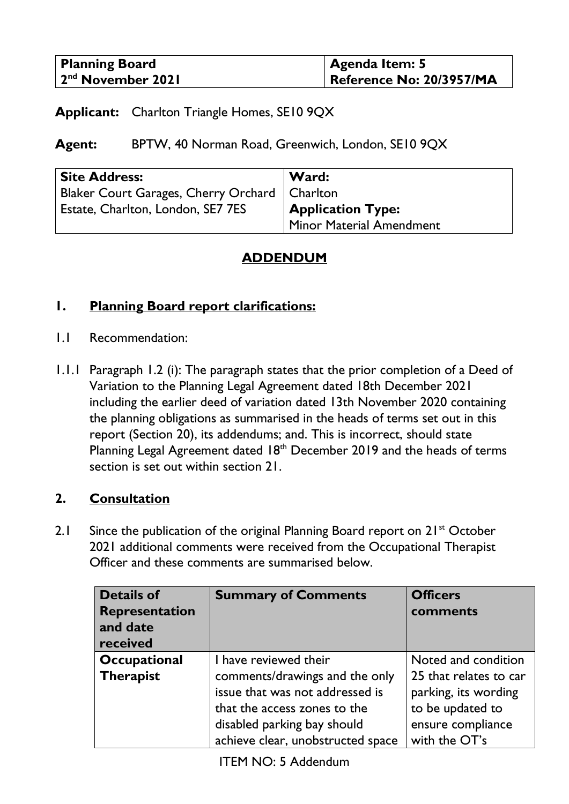| <b>Planning Board</b>         | <b>Agenda Item: 5</b>    |
|-------------------------------|--------------------------|
| 2 <sup>nd</sup> November 2021 | Reference No: 20/3957/MA |

**Applicant:** Charlton Triangle Homes, SE10 9QX

### **Agent:** BPTW, 40 Norman Road, Greenwich, London, SE10 9QX

| <b>Site Address:</b>                            | Ward:                           |
|-------------------------------------------------|---------------------------------|
| Blaker Court Garages, Cherry Orchard   Charlton |                                 |
| Estate, Charlton, London, SE7 7ES               | <b>Application Type:</b>        |
|                                                 | <b>Minor Material Amendment</b> |

# **ADDENDUM**

## **1. Planning Board report clarifications:**

- 1.1 Recommendation:
- 1.1.1 Paragraph 1.2 (i): The paragraph states that the prior completion of a Deed of Variation to the Planning Legal Agreement dated 18th December 2021 including the earlier deed of variation dated 13th November 2020 containing the planning obligations as summarised in the heads of terms set out in this report (Section 20), its addendums; and. This is incorrect, should state Planning Legal Agreement dated  $18<sup>th</sup>$  December 2019 and the heads of terms section is set out within section 21.

## **2. Consultation**

2.1 Since the publication of the original Planning Board report on  $21^{st}$  October 2021 additional comments were received from the Occupational Therapist Officer and these comments are summarised below.

| <b>Details of</b><br>Representation<br>and date<br>received | <b>Summary of Comments</b>                                                                                                                                                                     | <b>Officers</b><br>comments                                                                                                     |
|-------------------------------------------------------------|------------------------------------------------------------------------------------------------------------------------------------------------------------------------------------------------|---------------------------------------------------------------------------------------------------------------------------------|
| Occupational<br><b>Therapist</b>                            | I have reviewed their<br>comments/drawings and the only<br>issue that was not addressed is<br>that the access zones to the<br>disabled parking bay should<br>achieve clear, unobstructed space | Noted and condition<br>25 that relates to car<br>parking, its wording<br>to be updated to<br>ensure compliance<br>with the OT's |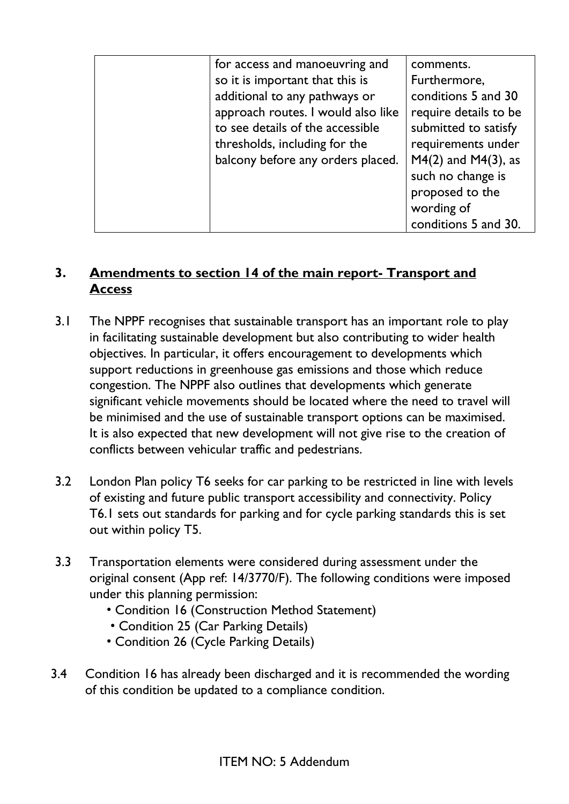| for access and manoeuvring and<br>so it is important that this is<br>additional to any pathways or<br>approach routes. I would also like<br>to see details of the accessible<br>thresholds, including for the<br>balcony before any orders placed. | comments.<br>Furthermore,<br>conditions 5 and 30<br>require details to be<br>submitted to satisfy<br>requirements under<br>$M4(2)$ and $M4(3)$ , as<br>such no change is<br>proposed to the<br>wording of<br>conditions 5 and 30. |
|----------------------------------------------------------------------------------------------------------------------------------------------------------------------------------------------------------------------------------------------------|-----------------------------------------------------------------------------------------------------------------------------------------------------------------------------------------------------------------------------------|
|----------------------------------------------------------------------------------------------------------------------------------------------------------------------------------------------------------------------------------------------------|-----------------------------------------------------------------------------------------------------------------------------------------------------------------------------------------------------------------------------------|

# **3. Amendments to section 14 of the main report- Transport and Access**

- 3.1 The NPPF recognises that sustainable transport has an important role to play in facilitating sustainable development but also contributing to wider health objectives. In particular, it offers encouragement to developments which support reductions in greenhouse gas emissions and those which reduce congestion. The NPPF also outlines that developments which generate significant vehicle movements should be located where the need to travel will be minimised and the use of sustainable transport options can be maximised. It is also expected that new development will not give rise to the creation of conflicts between vehicular traffic and pedestrians.
- 3.2 London Plan policy T6 seeks for car parking to be restricted in line with levels of existing and future public transport accessibility and connectivity. Policy T6.1 sets out standards for parking and for cycle parking standards this is set out within policy T5.
- 3.3 Transportation elements were considered during assessment under the original consent (App ref: 14/3770/F). The following conditions were imposed under this planning permission:
	- Condition 16 (Construction Method Statement)
	- Condition 25 (Car Parking Details)
	- Condition 26 (Cycle Parking Details)
- 3.4 Condition 16 has already been discharged and it is recommended the wording of this condition be updated to a compliance condition.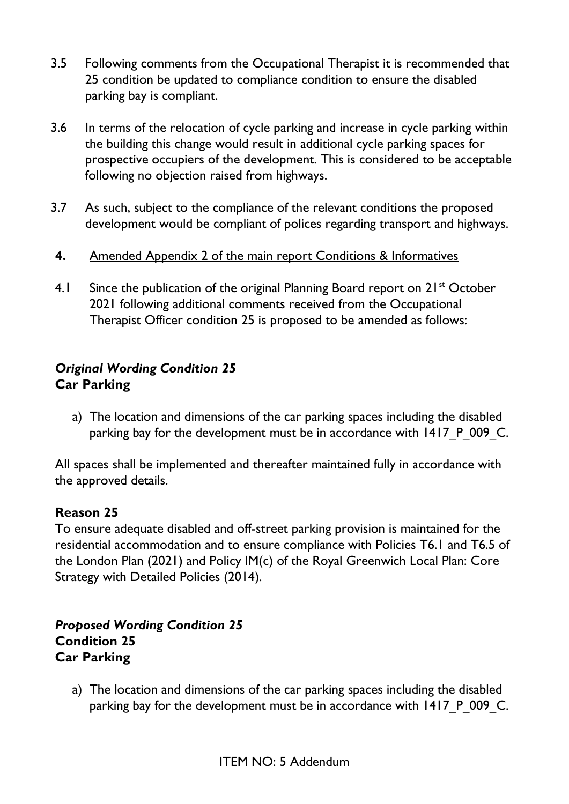- 3.5 Following comments from the Occupational Therapist it is recommended that 25 condition be updated to compliance condition to ensure the disabled parking bay is compliant.
- 3.6 In terms of the relocation of cycle parking and increase in cycle parking within the building this change would result in additional cycle parking spaces for prospective occupiers of the development. This is considered to be acceptable following no objection raised from highways.
- 3.7 As such, subject to the compliance of the relevant conditions the proposed development would be compliant of polices regarding transport and highways.
- **4.** Amended Appendix 2 of the main report Conditions & Informatives
- 4.1 Since the publication of the original Planning Board report on 21<sup>st</sup> October 2021 following additional comments received from the Occupational Therapist Officer condition 25 is proposed to be amended as follows:

### *Original Wording Condition 25* **Car Parking**

a) The location and dimensions of the car parking spaces including the disabled parking bay for the development must be in accordance with 1417 P 009 C.

All spaces shall be implemented and thereafter maintained fully in accordance with the approved details.

### **Reason 25**

To ensure adequate disabled and off-street parking provision is maintained for the residential accommodation and to ensure compliance with Policies T6.1 and T6.5 of the London Plan (2021) and Policy IM(c) of the Royal Greenwich Local Plan: Core Strategy with Detailed Policies (2014).

### *Proposed Wording Condition 25* **Condition 25 Car Parking**

a) The location and dimensions of the car parking spaces including the disabled parking bay for the development must be in accordance with 1417 P 009 C.